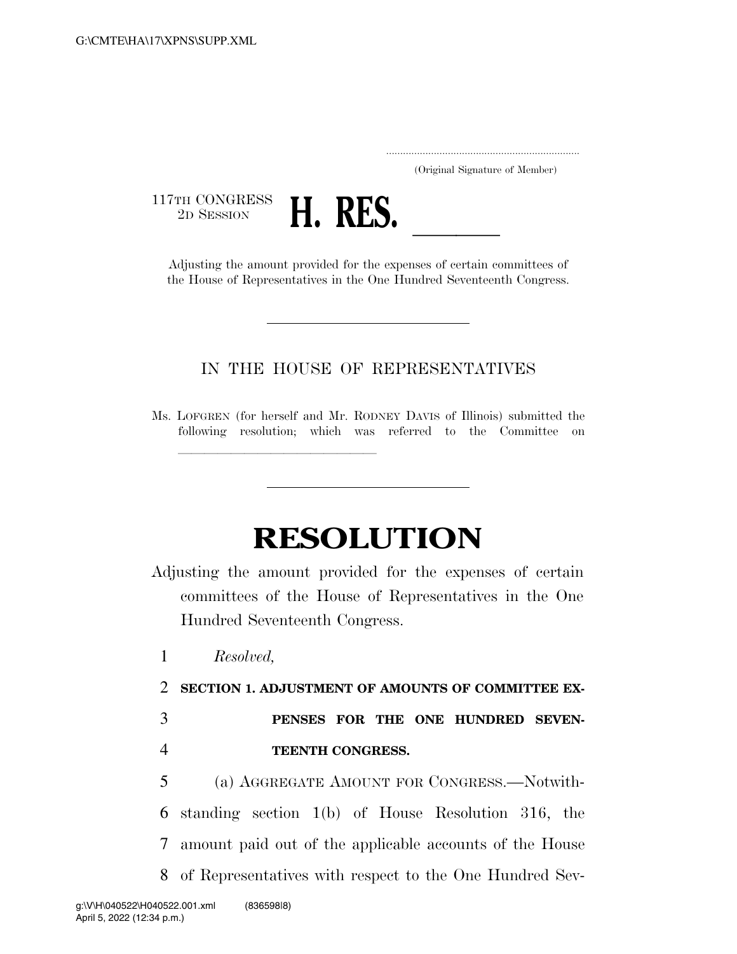..................................................................... (Original Signature of Member)

117TH CONGRESS<br>2D SESSION



2D SESSION **H. RES.**<br>Adjusting the amount provided for the expenses of certain committees of the House of Representatives in the One Hundred Seventeenth Congress.

## IN THE HOUSE OF REPRESENTATIVES

Ms. LOFGREN (for herself and Mr. RODNEY DAVIS of Illinois) submitted the following resolution; which was referred to the Committee on

<del>llille av det stad av det stad av det stad av det stad av det stad av det stad av det stad av det stad av det<br>En der stad av det stad av det stad av det stad av det stad av det stad av det stad av det stad av det stad av</del>

## **RESOLUTION**

Adjusting the amount provided for the expenses of certain committees of the House of Representatives in the One Hundred Seventeenth Congress.

1 *Resolved,* 

- 2 **SECTION 1. ADJUSTMENT OF AMOUNTS OF COMMITTEE EX-**
- 3 **PENSES FOR THE ONE HUNDRED SEVEN-**4 **TEENTH CONGRESS.**
- 5 (a) AGGREGATE AMOUNT FOR CONGRESS.—Notwith-6 standing section 1(b) of House Resolution 316, the 7 amount paid out of the applicable accounts of the House 8 of Representatives with respect to the One Hundred Sev-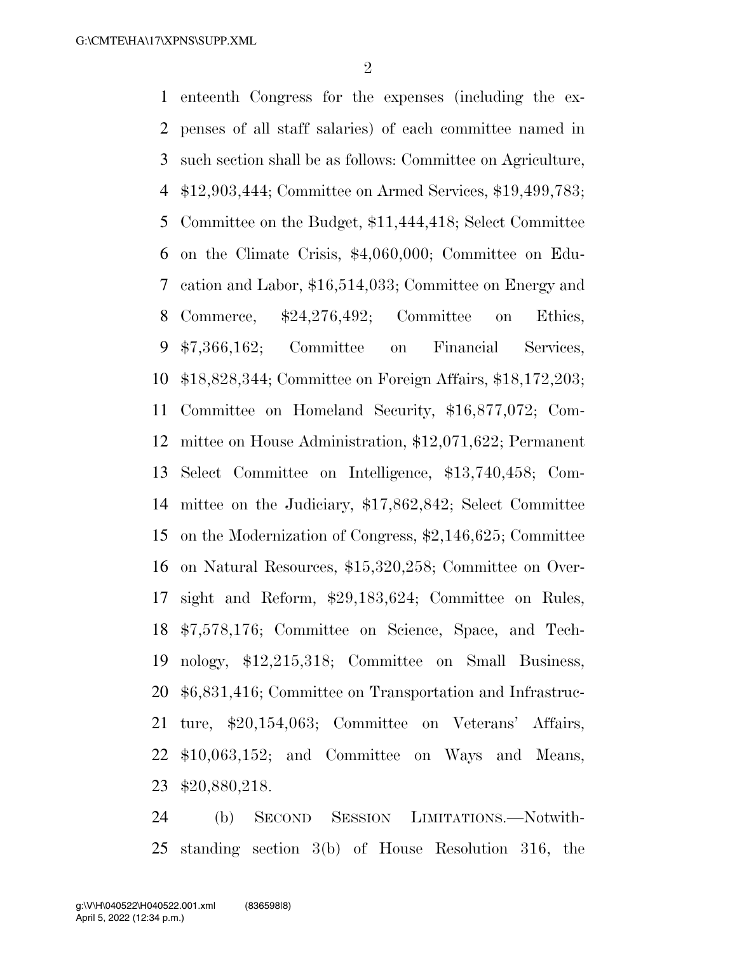enteenth Congress for the expenses (including the ex- penses of all staff salaries) of each committee named in such section shall be as follows: Committee on Agriculture, \$12,903,444; Committee on Armed Services, \$19,499,783; Committee on the Budget, \$11,444,418; Select Committee on the Climate Crisis, \$4,060,000; Committee on Edu- cation and Labor, \$16,514,033; Committee on Energy and Commerce, \$24,276,492; Committee on Ethics, \$7,366,162; Committee on Financial Services, \$18,828,344; Committee on Foreign Affairs, \$18,172,203; Committee on Homeland Security, \$16,877,072; Com- mittee on House Administration, \$12,071,622; Permanent Select Committee on Intelligence, \$13,740,458; Com- mittee on the Judiciary, \$17,862,842; Select Committee on the Modernization of Congress, \$2,146,625; Committee on Natural Resources, \$15,320,258; Committee on Over- sight and Reform, \$29,183,624; Committee on Rules, \$7,578,176; Committee on Science, Space, and Tech- nology, \$12,215,318; Committee on Small Business, \$6,831,416; Committee on Transportation and Infrastruc- ture, \$20,154,063; Committee on Veterans' Affairs, \$10,063,152; and Committee on Ways and Means, \$20,880,218.

 (b) SECOND SESSION LIMITATIONS.—Notwith-standing section 3(b) of House Resolution 316, the